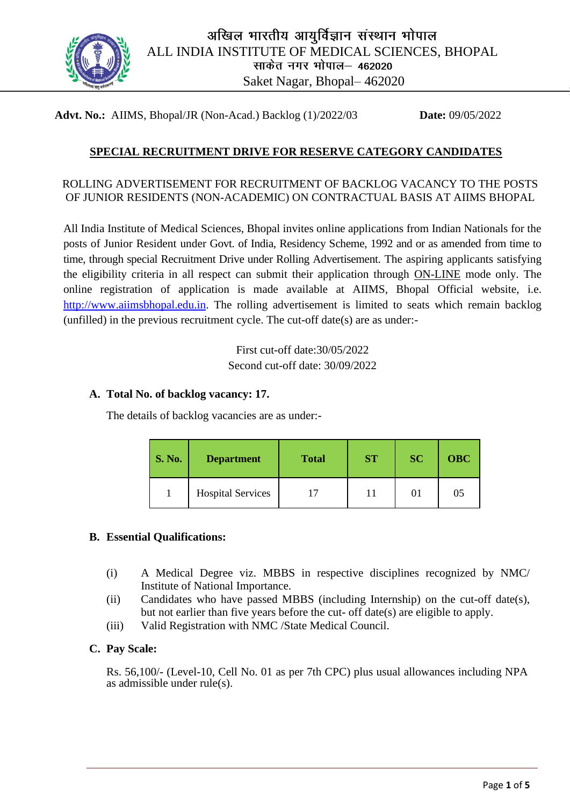

**Advt. No.:** AIIMS, Bhopal/JR (Non-Acad.) Backlog (1)/2022/03 **Date:** 09/05/2022

# **SPECIAL RECRUITMENT DRIVE FOR RESERVE CATEGORY CANDIDATES**

### ROLLING ADVERTISEMENT FOR RECRUITMENT OF BACKLOG VACANCY TO THE POSTS OF JUNIOR RESIDENTS (NON-ACADEMIC) ON CONTRACTUAL BASIS AT AIIMS BHOPAL

All India Institute of Medical Sciences, Bhopal invites online applications from Indian Nationals for the posts of Junior Resident under Govt. of India, Residency Scheme, 1992 and or as amended from time to time, through special Recruitment Drive under Rolling Advertisement. The aspiring applicants satisfying the eligibility criteria in all respect can submit their application through ON-LINE mode only. The online registration of application is made available at AIIMS, Bhopal Official website, i.e. http://www.aiimsbhopal.edu.in. The rolling advertisement is limited to seats which remain backlog (unfilled) in the previous recruitment cycle. The cut-off date(s) are as under:-

> First cut-off date:30/05/2022 Second cut-off date: 30/09/2022

#### **A. Total No. of backlog vacancy: 17.**

The details of backlog vacancies are as under:-

| <b>S. No.</b> | <b>Department</b>        | <b>Total</b> | <b>ST</b> | <b>SC</b> | <b>OBC</b> |
|---------------|--------------------------|--------------|-----------|-----------|------------|
|               | <b>Hospital Services</b> |              | 11        | 01        | 05         |

## **B. Essential Qualifications:**

- (i) A Medical Degree viz. MBBS in respective disciplines recognized by NMC/ Institute of National Importance.
- (ii) Candidates who have passed MBBS (including Internship) on the cut-off date(s), but not earlier than five years before the cut- off date(s) are eligible to apply.
- (iii) Valid Registration with NMC /State Medical Council.

#### **C. Pay Scale:**

Rs. 56,100/- (Level-10, Cell No. 01 as per 7th CPC) plus usual allowances including NPA as admissible under rule(s).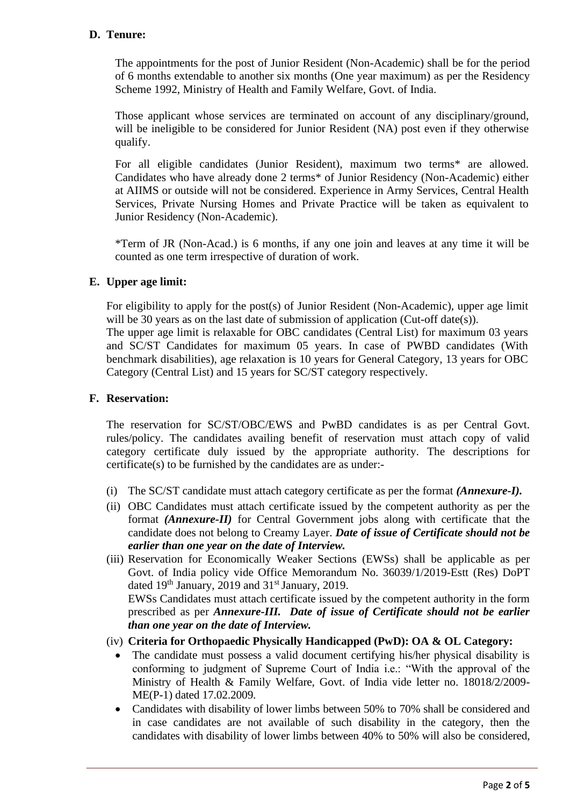# **D. Tenure:**

The appointments for the post of Junior Resident (Non-Academic) shall be for the period of 6 months extendable to another six months (One year maximum) as per the Residency Scheme 1992, Ministry of Health and Family Welfare, Govt. of India.

Those applicant whose services are terminated on account of any disciplinary/ground, will be ineligible to be considered for Junior Resident (NA) post even if they otherwise qualify.

For all eligible candidates (Junior Resident), maximum two terms\* are allowed. Candidates who have already done 2 terms\* of Junior Residency (Non-Academic) either at AIIMS or outside will not be considered. Experience in Army Services, Central Health Services, Private Nursing Homes and Private Practice will be taken as equivalent to Junior Residency (Non-Academic).

\*Term of JR (Non-Acad.) is 6 months, if any one join and leaves at any time it will be counted as one term irrespective of duration of work.

## **E. Upper age limit:**

For eligibility to apply for the post(s) of Junior Resident (Non-Academic), upper age limit will be 30 years as on the last date of submission of application (Cut-off date(s)).

The upper age limit is relaxable for OBC candidates (Central List) for maximum 03 years and SC/ST Candidates for maximum 05 years. In case of PWBD candidates (With benchmark disabilities), age relaxation is 10 years for General Category, 13 years for OBC Category (Central List) and 15 years for SC/ST category respectively.

## **F. Reservation:**

The reservation for SC/ST/OBC/EWS and PwBD candidates is as per Central Govt. rules/policy. The candidates availing benefit of reservation must attach copy of valid category certificate duly issued by the appropriate authority. The descriptions for certificate(s) to be furnished by the candidates are as under:-

- (i) The SC/ST candidate must attach category certificate as per the format *(Annexure-I).*
- (ii) OBC Candidates must attach certificate issued by the competent authority as per the format *(Annexure-II)* for Central Government jobs along with certificate that the candidate does not belong to Creamy Layer. *Date of issue of Certificate should not be earlier than one year on the date of Interview.*
- (iii) Reservation for Economically Weaker Sections (EWSs) shall be applicable as per Govt. of India policy vide Office Memorandum No. 36039/1/2019-Estt (Res) DoPT dated 19<sup>th</sup> January, 2019 and 31<sup>st</sup> January, 2019. EWSs Candidates must attach certificate issued by the competent authority in the form prescribed as per *Annexure-III.**Date of issue of Certificate should not be earlier than one year on the date of Interview.*

#### (iv) **Criteria for Orthopaedic Physically Handicapped (PwD): OA & OL Category:**

- The candidate must possess a valid document certifying his/her physical disability is conforming to judgment of Supreme Court of India i.e.: "With the approval of the Ministry of Health & Family Welfare, Govt. of India vide letter no. 18018/2/2009- ME(P-1) dated 17.02.2009.
- Candidates with disability of lower limbs between 50% to 70% shall be considered and in case candidates are not available of such disability in the category, then the candidates with disability of lower limbs between 40% to 50% will also be considered,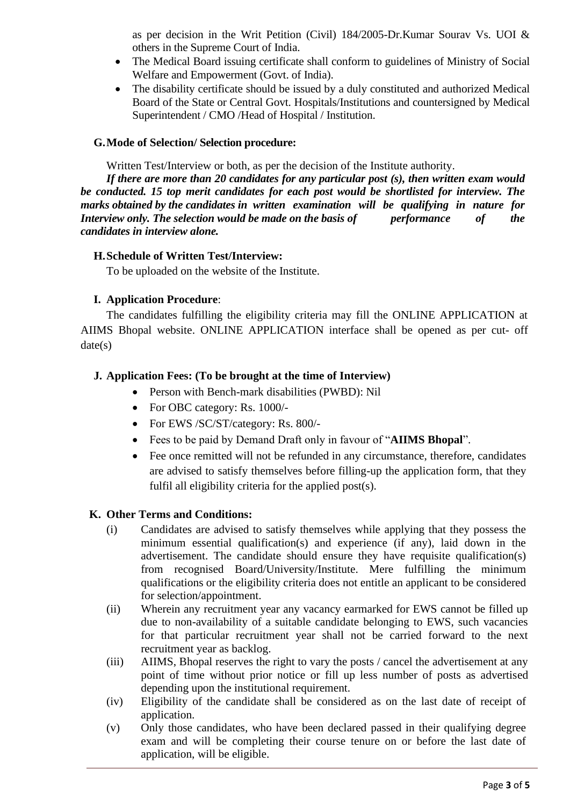as per decision in the Writ Petition (Civil) 184/2005-Dr.Kumar Sourav Vs. UOI & others in the Supreme Court of India.

- The Medical Board issuing certificate shall conform to guidelines of Ministry of Social Welfare and Empowerment (Govt. of India).
- The disability certificate should be issued by a duly constituted and authorized Medical Board of the State or Central Govt. Hospitals/Institutions and countersigned by Medical Superintendent / CMO /Head of Hospital / Institution.

## **G.Mode of Selection/ Selection procedure:**

Written Test/Interview or both, as per the decision of the Institute authority.

*If there are more than 20 candidates for any particular post (s), then written exam would be conducted. 15 top merit candidates for each post would be shortlisted for interview. The marks obtained by the candidates in written examination will be qualifying in nature for Interview only. The selection would be made on the basis of performance of the candidates in interview alone.*

## **H.Schedule of Written Test/Interview:**

To be uploaded on the website of the Institute.

## **I. Application Procedure**:

The candidates fulfilling the eligibility criteria may fill the ONLINE APPLICATION at AIIMS Bhopal website. ONLINE APPLICATION interface shall be opened as per cut- off  $date(s)$ 

## **J. Application Fees: (To be brought at the time of Interview)**

- Person with Bench-mark disabilities (PWBD): Nil
- For OBC category: Rs. 1000/-
- For EWS /SC/ST/category: Rs. 800/-
- Fees to be paid by Demand Draft only in favour of "**AIIMS Bhopal**".
- Fee once remitted will not be refunded in any circumstance, therefore, candidates are advised to satisfy themselves before filling-up the application form, that they fulfil all eligibility criteria for the applied post(s).

## **K. Other Terms and Conditions:**

- (i) Candidates are advised to satisfy themselves while applying that they possess the minimum essential qualification(s) and experience (if any), laid down in the advertisement. The candidate should ensure they have requisite qualification(s) from recognised Board/University/Institute. Mere fulfilling the minimum qualifications or the eligibility criteria does not entitle an applicant to be considered for selection/appointment.
- (ii) Wherein any recruitment year any vacancy earmarked for EWS cannot be filled up due to non-availability of a suitable candidate belonging to EWS, such vacancies for that particular recruitment year shall not be carried forward to the next recruitment year as backlog.
- (iii) AIIMS, Bhopal reserves the right to vary the posts / cancel the advertisement at any point of time without prior notice or fill up less number of posts as advertised depending upon the institutional requirement.
- (iv) Eligibility of the candidate shall be considered as on the last date of receipt of application.
- (v) Only those candidates, who have been declared passed in their qualifying degree exam and will be completing their course tenure on or before the last date of application, will be eligible.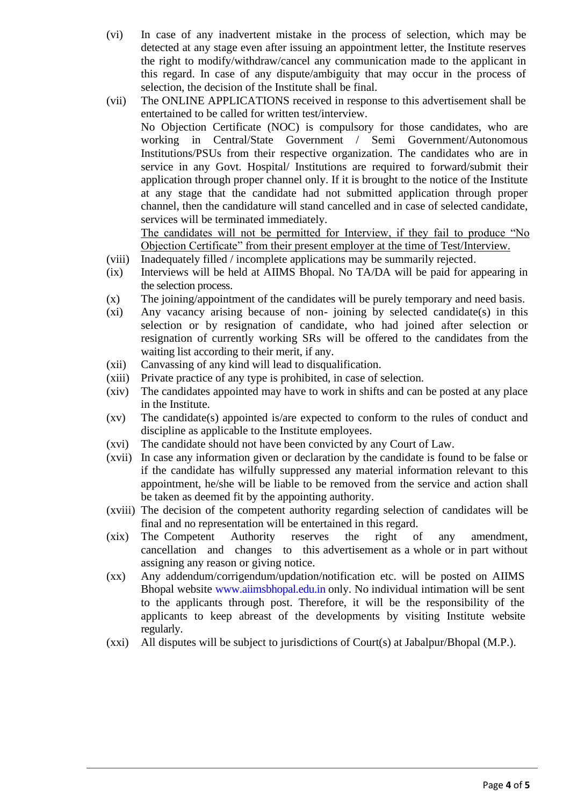- (vi) In case of any inadvertent mistake in the process of selection, which may be detected at any stage even after issuing an appointment letter, the Institute reserves the right to modify/withdraw/cancel any communication made to the applicant in this regard. In case of any dispute/ambiguity that may occur in the process of selection, the decision of the Institute shall be final.
- (vii) The ONLINE APPLICATIONS received in response to this advertisement shall be entertained to be called for written test/interview. No Objection Certificate (NOC) is compulsory for those candidates, who are working in Central/State Government / Semi Government/Autonomous Institutions/PSUs from their respective organization. The candidates who are in service in any Govt. Hospital/ Institutions are required to forward/submit their application through proper channel only. If it is brought to the notice of the Institute at any stage that the candidate had not submitted application through proper channel, then the candidature will stand cancelled and in case of selected candidate, services will be terminated immediately. The candidates will not be permitted for Interview, if they fail to produce "No

Objection Certificate" from their present employer at the time of Test/Interview.

- (viii) Inadequately filled / incomplete applications may be summarily rejected.
- (ix) Interviews will be held at AIIMS Bhopal. No TA/DA will be paid for appearing in the selection process.
- (x) The joining/appointment of the candidates will be purely temporary and need basis.
- (xi) Any vacancy arising because of non- joining by selected candidate(s) in this selection or by resignation of candidate, who had joined after selection or resignation of currently working SRs will be offered to the candidates from the waiting list according to their merit, if any.
- (xii) Canvassing of any kind will lead to disqualification.
- (xiii) Private practice of any type is prohibited, in case of selection.
- (xiv) The candidates appointed may have to work in shifts and can be posted at any place in the Institute.
- (xv) The candidate(s) appointed is/are expected to conform to the rules of conduct and discipline as applicable to the Institute employees.
- (xvi) The candidate should not have been convicted by any Court of Law.
- (xvii) In case any information given or declaration by the candidate is found to be false or if the candidate has wilfully suppressed any material information relevant to this appointment, he/she will be liable to be removed from the service and action shall be taken as deemed fit by the appointing authority.
- (xviii) The decision of the competent authority regarding selection of candidates will be final and no representation will be entertained in this regard.
- (xix) The Competent Authority reserves the right of any amendment, cancellation and changes to this advertisement as a whole or in part without assigning any reason or giving notice.
- (xx) Any addendum/corrigendum/updation/notification etc. will be posted on AIIMS Bhopal website [www.aiimsbhopal.edu.in o](http://www.aiimsbhopal.edu.in/)nly. No individual intimation will be sent to the applicants through post. Therefore, it will be the responsibility of the applicants to keep abreast of the developments by visiting Institute website regularly.
- (xxi) All disputes will be subject to jurisdictions of Court(s) at Jabalpur/Bhopal (M.P.).